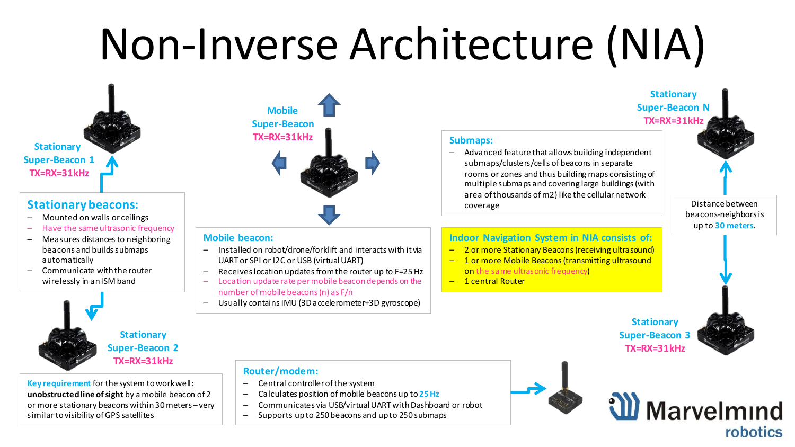## Non-Inverse Architecture (NIA)

**Stationary Super-Beacon 1 TX=RX=31kHz**

#### **Stationary beacons:**

- Mounted on walls or ceilings
- Have the same ultrasonic frequency
- Measures distances to neighboring beacons and builds submaps automatically
- Communicate with the router wirelessly in an ISM band



**Key requirement** for the system to work well: **unobstructed line of sight** by a mobile beacon of 2 or more stationary beacons within 30 meters – very similar to visibility of GPS satellites

### **Mobile Super-Beacon TX=RX=31kHz**

#### **Mobile beacon:**

- Installed on robot/drone/forklift and interacts with it via UART or SPI or I2C or USB (virtual UART)
- Receives location updates from the router up to F=25 Hz
- Location update rate per mobile beacon depends on the number of mobile beacons (n) as F/n
- Usually contains IMU (3D accelerometer+3D gyroscope)

### **Submaps:**

– Advanced feature that allows building independent submaps/clusters/cells of beacons in separate rooms or zones and thus building maps consisting of multiple submaps and covering large buildings (with area of thousands of m2) like the cellular network coverage

Distance between beacons-neighbors is up to **30 meters**.

#### **Indoor Navigation System in NIA consists of:**

- 2 or more Stationary Beacons (receiving ultrasound)
- 1 or more Mobile Beacons (transmitting ultrasound on the same ultrasonic frequency)
- 1 central Router

**Stationary Super-Beacon 3 TX=RX=31kHz**



#### **Router/modem:**

- Central controller of the system
- Calculates position of mobile beacons up to **25 Hz**
- Communicates via USB/virtual UART with Dashboard or robot
- Supports upto 250beacons and upto 250 submaps

**TX=RX=31kHz**

**Stationary Super-Beacon N**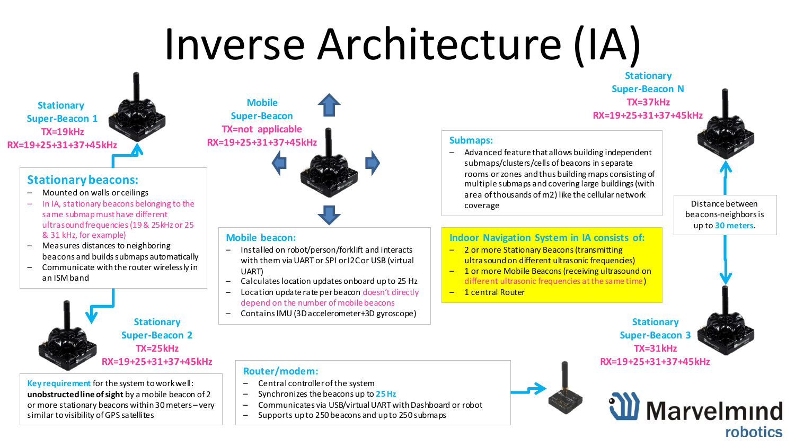## Inverse Architecture (IA)



#### **Stationary beacons:**

- Mounted on walls or ceilings
- In IA, stationary beacons belonging to the same submap must have different ultrasound frequencies (19 & 25kHz or 25 & 31 kHz, for example)
- Measures distances to neighboring beacons and builds submaps automatically
- Communicate with the router wirelessly in an ISM band



**Key requirement** for the system to work well: **unobstructed line of sight** by a mobile beacon of 2 or more stationary beacons within 30 meters – very similar to visibility of GPS satellites

### **Mobile Super-Beacon TX=not applicable RX=19+25+31+37+45kHz**

#### **Mobile beacon:**

- Installed on robot/person/forklift and interacts with them via UART or SPI or I2C or USB (virtual UART)
- Calculates location updates onboard up to 25 Hz
- Location update rate per beacon doesn't directly depend on the number of mobile beacons
- Contains IMU (3D accelerometer+3D gyroscope)

#### **Router/modem:**

- Central controller of the system
- Synchronizes the beacons up to **25 Hz**
- Communicates via USB/virtual UART with Dashboard or robot
- Supports up to 250 beacons and up to 250 submaps

#### **Stationary Super-Beacon N TX=37kHz RX=19+25+31+37+45kHz**

#### **Submaps:**

– Advanced feature that allows building independent submaps/clusters/cells of beacons in separate rooms or zones and thus building maps consisting of multiple submaps and covering large buildings (with area of thousands of m2) like the cellular network coverage

Distance between beacons-neighbors is up to **30 meters**.

#### **Indoor Navigation System in IA consists of:**

- 2 or more Stationary Beacons (transmitting ultrasound on different ultrasonic frequencies)
- 1 or more Mobile Beacons (receiving ultrasound on different ultrasonic frequencies at the same time)
- 1 central Router



### W Marvelmind robotics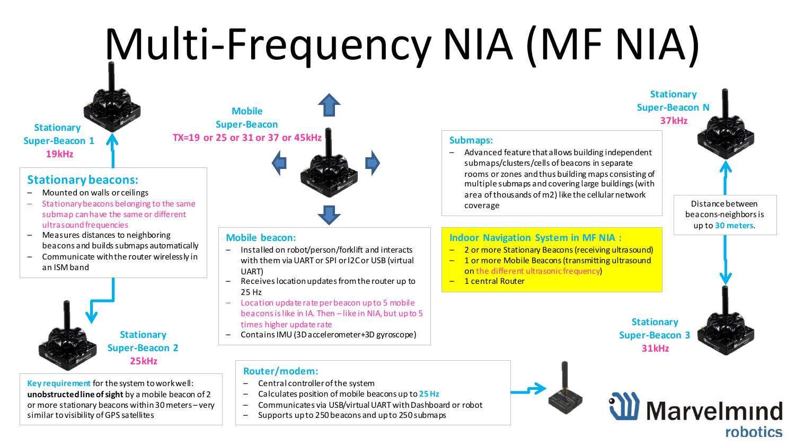# Multi-Frequency NIA (MF NIA)

**Stationary Super-Beacon 1 19kHz**

#### **Stationary beacons:**

- Mounted on walls or ceilings
- Stationary beacons belonging to the same submap can have the same or different ultrasound frequencies
- Measures distances to neighboring beacons and builds submaps automatically
- Communicate with the router wirelessly in an ISM band



**Key requirement** for the system to work well: **unobstructed line of sight** by a mobile beacon of 2 or more stationary beacons within 30 meters – very similar to visibility of GPS satellites

**Super-Beacon TX=19 or 25 or 31 or 37 or 45kHz**

**Mobile**



#### **Mobile beacon:**

- Installed on robot/person/forklift and interacts with them via UART or SPI or I2C or USB (virtual UART)
- Receives location updates from the router up to 25 Hz
- Location update rate per beacon up to 5 mobile beacons is like in IA. Then – like in NIA, but up to 5 times higher update rate
- Contains IMU (3D accelerometer+3D gyroscope)

#### **Router/modem:**

- Central controller of the system
- Calculates position of mobile beacons up to **25 Hz**
- Communicates via USB/virtual UART with Dashboard or robot
- Supports up to 250 beacons and up to 250 submaps

#### **Submaps:**

– Advanced feature that allows building independent submaps/clusters/cells of beacons in separate rooms or zones and thus building maps consisting of multiple submaps and covering large buildings (with area of thousands of m2) like the cellular network coverage

Distance between beacons-neighbors is up to **30 meters**.

#### **Indoor Navigation System in MF NIA :**

- 2 or more Stationary Beacons (receiving ultrasound)
- 1 or more Mobile Beacons (transmitting ultrasound on the different ultrasonic frequency)
- 1 central Router





**Stationary Super-Beacon N 37kHz**